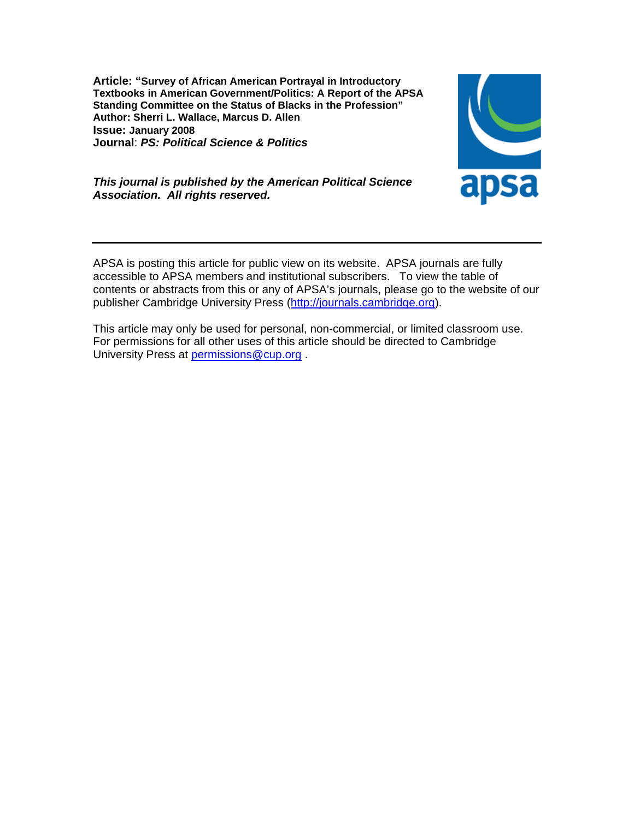**Article: "Survey of African American Portrayal in Introductory Textbooks in American Government/Politics: A Report of the APSA Standing Committee on the Status of Blacks in the Profession" Author: Sherri L. Wallace, Marcus D. Allen Issue: January 2008 Journal**: *PS: Political Science & Politics*



# *This journal is published by the American Political Science Association. All rights reserved.*

APSA is posting this article for public view on its website. APSA journals are fully accessible to APSA members and institutional subscribers. To view the table of contents or abstracts from this or any of APSA's journals, please go to the website of our publisher Cambridge University Press (http://journals.cambridge.org).

This article may only be used for personal, non-commercial, or limited classroom use. For permissions for all other uses of this article should be directed to Cambridge University Press at permissions@cup.org .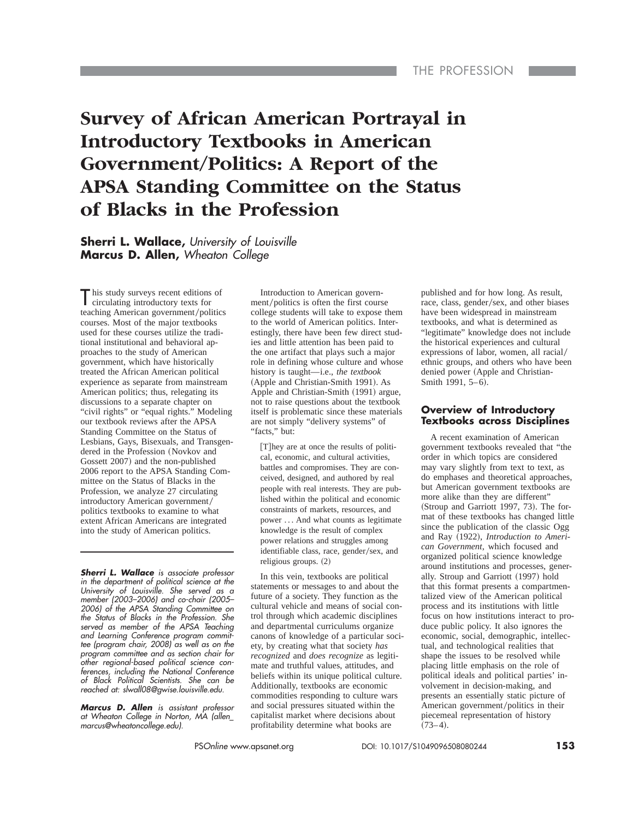# **Survey of African American Portrayal in Introductory Textbooks in American Government/Politics: A Report of the APSA Standing Committee on the Status of Blacks in the Profession**

**Sherri L. Wallace,** *University of Louisville* **Marcus D. Allen,** *Wheaton College*

T his study surveys recent editions of circulating introductory texts for teaching American government/politics courses. Most of the major textbooks used for these courses utilize the traditional institutional and behavioral approaches to the study of American government, which have historically treated the African American political experience as separate from mainstream American politics; thus, relegating its discussions to a separate chapter on "civil rights" or "equal rights." Modeling our textbook reviews after the APSA Standing Committee on the Status of Lesbians, Gays, Bisexuals, and Transgendered in the Profession (Novkov and Gossett 2007) and the non-published 2006 report to the APSA Standing Committee on the Status of Blacks in the Profession, we analyze 27 circulating introductory American government/ politics textbooks to examine to what extent African Americans are integrated into the study of American politics.

*Sherri L. Wallace is associate professor in the department of political science at the University of Louisville. She served as a member (2003–2006) and co-chair (2005– 2006) of the APSA Standing Committee on the Status of Blacks in the Profession. She served as member of the APSA Teaching and Learning Conference program committee (program chair, 2008) as well as on the program committee and as section chair for other regional-based political science conferences, including the National Conference of Black Political Scientists. She can be reached at: slwall08@gwise.louisville.edu.*

*Marcus D. Allen is assistant professor at Wheaton College in Norton, MA (allen\_ marcus@wheatoncollege.edu).*

Introduction to American government/politics is often the first course college students will take to expose them to the world of American politics. Interestingly, there have been few direct studies and little attention has been paid to the one artifact that plays such a major role in defining whose culture and whose history is taught—i.e., *the textbook* (Apple and Christian-Smith 1991). As Apple and Christian-Smith  $(1991)$  argue, not to raise questions about the textbook itself is problematic since these materials are not simply "delivery systems" of "facts," but:

 $[T]$ hey are at once the results of political, economic, and cultural activities, battles and compromises. They are conceived, designed, and authored by real people with real interests. They are published within the political and economic constraints of markets, resources, and power . . . And what counts as legitimate knowledge is the result of complex power relations and struggles among identifiable class, race, gender/sex, and religious groups.  $(2)$ 

In this vein, textbooks are political statements or messages to and about the future of a society. They function as the cultural vehicle and means of social control through which academic disciplines and departmental curriculums organize canons of knowledge of a particular society, by creating what that society *has recognized* and *does recognize* as legitimate and truthful values, attitudes, and beliefs within its unique political culture. Additionally, textbooks are economic commodities responding to culture wars and social pressures situated within the capitalist market where decisions about profitability determine what books are

published and for how long. As result, race, class, gender/sex, and other biases have been widespread in mainstream textbooks, and what is determined as "legitimate" knowledge does not include the historical experiences and cultural expressions of labor, women, all racial/ ethnic groups, and others who have been denied power (Apple and Christian-Smith 1991, 5-6).

#### **Overview of Introductory Textbooks across Disciplines**

A recent examination of American government textbooks revealed that "the order in which topics are considered may vary slightly from text to text, as do emphases and theoretical approaches, but American government textbooks are more alike than they are different"  $(Stroup and Garriott 1997, 73)$ . The format of these textbooks has changed little since the publication of the classic Ogg and Ray (1922), *Introduction to American Government*, which focused and organized political science knowledge around institutions and processes, generally. Stroup and Garriott (1997) hold that this format presents a compartmentalized view of the American political process and its institutions with little focus on how institutions interact to produce public policy. It also ignores the economic, social, demographic, intellectual, and technological realities that shape the issues to be resolved while placing little emphasis on the role of political ideals and political parties' involvement in decision-making, and presents an essentially static picture of American government/politics in their piecemeal representation of history  $(73-4).$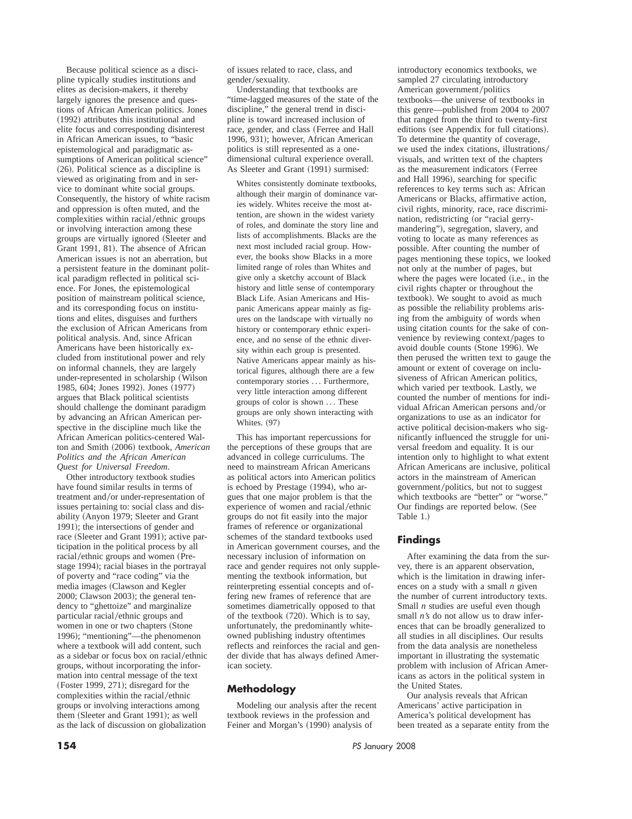Because political science as a discipline typically studies institutions and elites as decision-makers, it thereby largely ignores the presence and questions of African American politics. Jones ~1992! attributes this institutional and elite focus and corresponding disinterest in African American issues, to "basic epistemological and paradigmatic assumptions of American political science"  $(26)$ . Political science as a discipline is viewed as originating from and in service to dominant white social groups. Consequently, the history of white racism and oppression is often muted, and the complexities within racial/ethnic groups or involving interaction among these groups are virtually ignored (Sleeter and Grant 1991, 81). The absence of African American issues is not an aberration, but a persistent feature in the dominant political paradigm reflected in political science. For Jones, the epistemological position of mainstream political science, and its corresponding focus on institutions and elites, disguises and furthers the exclusion of African Americans from political analysis. And, since African Americans have been historically excluded from institutional power and rely on informal channels, they are largely under-represented in scholarship (Wilson 1985, 604; Jones 1992). Jones (1977) argues that Black political scientists should challenge the dominant paradigm by advancing an African American perspective in the discipline much like the African American politics-centered Walton and Smith (2006) textbook, *American Politics and the African American Quest for Universal Freedom*.

Other introductory textbook studies have found similar results in terms of treatment and/or under-representation of issues pertaining to: social class and disability (Anyon 1979; Sleeter and Grant 1991); the intersections of gender and race (Sleeter and Grant 1991); active participation in the political process by all racial/ethnic groups and women (Prestage 1994); racial biases in the portrayal of poverty and "race coding" via the media images (Clawson and Kegler  $2000$ ; Clawson  $2003$ ); the general tendency to "ghettoize" and marginalize particular racial/ethnic groups and women in one or two chapters (Stone 1996); "mentioning"—the phenomenon where a textbook will add content, such as a sidebar or focus box on racial/ethnic groups, without incorporating the information into central message of the text  $(Foster 1999, 271)$ ; disregard for the complexities within the racial/ethnic groups or involving interactions among them (Sleeter and Grant 1991); as well as the lack of discussion on globalization

of issues related to race, class, and gender/sexuality.

Understanding that textbooks are "time-lagged measures of the state of the discipline," the general trend in discipline is toward increased inclusion of race, gender, and class (Ferree and Hall 1996, 931); however, African American politics is still represented as a onedimensional cultural experience overall. As Sleeter and Grant (1991) surmised:

Whites consistently dominate textbooks, although their margin of dominance varies widely. Whites receive the most attention, are shown in the widest variety of roles, and dominate the story line and lists of accomplishments. Blacks are the next most included racial group. However, the books show Blacks in a more limited range of roles than Whites and give only a sketchy account of Black history and little sense of contemporary Black Life. Asian Americans and Hispanic Americans appear mainly as figures on the landscape with virtually no history or contemporary ethnic experience, and no sense of the ethnic diversity within each group is presented. Native Americans appear mainly as historical figures, although there are a few contemporary stories ... Furthermore, very little interaction among different groups of color is shown . . . These groups are only shown interacting with Whites.  $(97)$ 

This has important repercussions for the perceptions of these groups that are advanced in college curriculums. The need to mainstream African Americans as political actors into American politics is echoed by Prestage  $(1994)$ , who argues that one major problem is that the experience of women and racial/ethnic groups do not fit easily into the major frames of reference or organizational schemes of the standard textbooks used in American government courses, and the necessary inclusion of information on race and gender requires not only supplementing the textbook information, but reinterpreting essential concepts and offering new frames of reference that are sometimes diametrically opposed to that of the textbook  $(720)$ . Which is to say, unfortunately, the predominantly whiteowned publishing industry oftentimes reflects and reinforces the racial and gender divide that has always defined American society.

# **Methodology**

Modeling our analysis after the recent textbook reviews in the profession and Feiner and Morgan's (1990) analysis of

introductory economics textbooks, we sampled 27 circulating introductory American government/politics textbooks—the universe of textbooks in this genre—published from 2004 to 2007 that ranged from the third to twenty-first editions (see Appendix for full citations). To determine the quantity of coverage, we used the index citations, illustrations/ visuals, and written text of the chapters as the measurement indicators (Ferree and Hall 1996), searching for specific references to key terms such as: African Americans or Blacks, affirmative action, civil rights, minority, race, race discrimination, redistricting (or "racial gerrymandering"), segregation, slavery, and voting to locate as many references as possible. After counting the number of pages mentioning these topics, we looked not only at the number of pages, but where the pages were located (i.e., in the civil rights chapter or throughout the textbook). We sought to avoid as much as possible the reliability problems arising from the ambiguity of words when using citation counts for the sake of convenience by reviewing context/pages to avoid double counts (Stone 1996). We then perused the written text to gauge the amount or extent of coverage on inclusiveness of African American politics, which varied per textbook. Lastly, we counted the number of mentions for individual African American persons and/or organizations to use as an indicator for active political decision-makers who significantly influenced the struggle for universal freedom and equality. It is our intention only to highlight to what extent African Americans are inclusive, political actors in the mainstream of American government/politics, but not to suggest which textbooks are "better" or "worse." Our findings are reported below. (See Table 1.)

# **Findings**

After examining the data from the survey, there is an apparent observation, which is the limitation in drawing inferences on a study with a small *n* given the number of current introductory texts. Small *n* studies are useful even though small *n's* do not allow us to draw inferences that can be broadly generalized to all studies in all disciplines. Our results from the data analysis are nonetheless important in illustrating the systematic problem with inclusion of African Americans as actors in the political system in the United States.

Our analysis reveals that African Americans' active participation in America's political development has been treated as a separate entity from the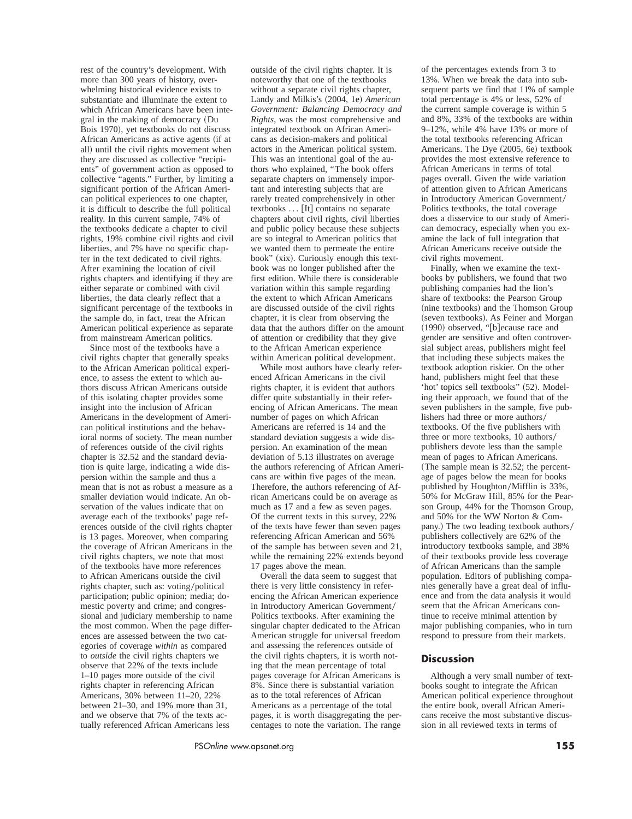rest of the country's development. With more than 300 years of history, overwhelming historical evidence exists to substantiate and illuminate the extent to which African Americans have been integral in the making of democracy (Du Bois 1970), yet textbooks do not discuss African Americans as active agents (if at all) until the civil rights movement when they are discussed as collective "recipients" of government action as opposed to collective "agents." Further, by limiting a significant portion of the African American political experiences to one chapter, it is difficult to describe the full political reality. In this current sample, 74% of the textbooks dedicate a chapter to civil rights, 19% combine civil rights and civil liberties, and 7% have no specific chapter in the text dedicated to civil rights. After examining the location of civil rights chapters and identifying if they are either separate or combined with civil liberties, the data clearly reflect that a significant percentage of the textbooks in the sample do, in fact, treat the African American political experience as separate from mainstream American politics.

Since most of the textbooks have a civil rights chapter that generally speaks to the African American political experience, to assess the extent to which authors discuss African Americans outside of this isolating chapter provides some insight into the inclusion of African Americans in the development of American political institutions and the behavioral norms of society. The mean number of references outside of the civil rights chapter is 32.52 and the standard deviation is quite large, indicating a wide dispersion within the sample and thus a mean that is not as robust a measure as a smaller deviation would indicate. An observation of the values indicate that on average each of the textbooks' page references outside of the civil rights chapter is 13 pages. Moreover, when comparing the coverage of African Americans in the civil rights chapters, we note that most of the textbooks have more references to African Americans outside the civil rights chapter, such as: voting/political participation; public opinion; media; domestic poverty and crime; and congressional and judiciary membership to name the most common. When the page differences are assessed between the two categories of coverage *within* as compared to *outside* the civil rights chapters we observe that 22% of the texts include 1–10 pages more outside of the civil rights chapter in referencing African Americans, 30% between 11–20, 22% between 21–30, and 19% more than 31, and we observe that 7% of the texts actually referenced African Americans less

outside of the civil rights chapter. It is noteworthy that one of the textbooks without a separate civil rights chapter, Landy and Milkis's  $(2004, 1e)$  *American Government: Balancing Democracy and Rights*, was the most comprehensive and integrated textbook on African Americans as decision-makers and political actors in the American political system. This was an intentional goal of the authors who explained, "The book offers separate chapters on immensely important and interesting subjects that are rarely treated comprehensively in other textbooks  $\dots$  [It] contains no separate chapters about civil rights, civil liberties and public policy because these subjects are so integral to American politics that we wanted them to permeate the entire book" (xix). Curiously enough this textbook was no longer published after the first edition. While there is considerable variation within this sample regarding the extent to which African Americans are discussed outside of the civil rights chapter, it is clear from observing the data that the authors differ on the amount of attention or credibility that they give to the African American experience within American political development.

While most authors have clearly referenced African Americans in the civil rights chapter, it is evident that authors differ quite substantially in their referencing of African Americans. The mean number of pages on which African Americans are referred is 14 and the standard deviation suggests a wide dispersion. An examination of the mean deviation of 5.13 illustrates on average the authors referencing of African Americans are within five pages of the mean. Therefore, the authors referencing of African Americans could be on average as much as 17 and a few as seven pages. Of the current texts in this survey, 22% of the texts have fewer than seven pages referencing African American and 56% of the sample has between seven and 21, while the remaining 22% extends beyond 17 pages above the mean.

Overall the data seem to suggest that there is very little consistency in referencing the African American experience in Introductory American Government/ Politics textbooks. After examining the singular chapter dedicated to the African American struggle for universal freedom and assessing the references outside of the civil rights chapters, it is worth noting that the mean percentage of total pages coverage for African Americans is 8%. Since there is substantial variation as to the total references of African Americans as a percentage of the total pages, it is worth disaggregating the percentages to note the variation. The range

of the percentages extends from 3 to 13%. When we break the data into subsequent parts we find that 11% of sample total percentage is 4% or less, 52% of the current sample coverage is within 5 and 8%, 33% of the textbooks are within 9–12%, while 4% have 13% or more of the total textbooks referencing African Americans. The Dye (2005, 6e) textbook provides the most extensive reference to African Americans in terms of total pages overall. Given the wide variation of attention given to African Americans in Introductory American Government/ Politics textbooks, the total coverage does a disservice to our study of American democracy, especially when you examine the lack of full integration that African Americans receive outside the civil rights movement.

Finally, when we examine the textbooks by publishers, we found that two publishing companies had the lion's share of textbooks: the Pearson Group (nine textbooks) and the Thomson Group (seven textbooks). As Feiner and Morgan (1990) observed, "[b] ecause race and gender are sensitive and often controversial subject areas, publishers might feel that including these subjects makes the textbook adoption riskier. On the other hand, publishers might feel that these 'hot' topics sell textbooks" (52). Modeling their approach, we found that of the seven publishers in the sample, five publishers had three or more authors/ textbooks. Of the five publishers with three or more textbooks, 10 authors/ publishers devote less than the sample mean of pages to African Americans. (The sample mean is  $32.52$ ; the percentage of pages below the mean for books published by Houghton/Mifflin is 33%, 50% for McGraw Hill, 85% for the Pearson Group, 44% for the Thomson Group, and 50% for the WW Norton & Company.) The two leading textbook authors/ publishers collectively are 62% of the introductory textbooks sample, and 38% of their textbooks provide less coverage of African Americans than the sample population. Editors of publishing companies generally have a great deal of influence and from the data analysis it would seem that the African Americans continue to receive minimal attention by major publishing companies, who in turn respond to pressure from their markets.

#### **Discussion**

Although a very small number of textbooks sought to integrate the African American political experience throughout the entire book, overall African Americans receive the most substantive discussion in all reviewed texts in terms of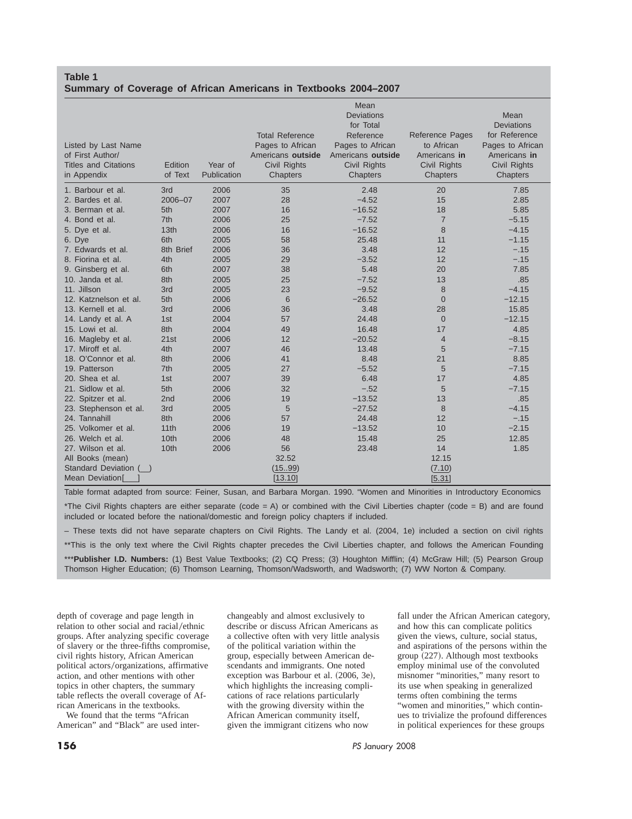# **Table 1 Summary of Coverage of African Americans in Textbooks 2004–2007**

|                             |                  |             | <b>Total Reference</b> | Mean<br><b>Deviations</b><br>for Total<br>Reference | Reference Pages | Mean<br>Deviations<br>for Reference |
|-----------------------------|------------------|-------------|------------------------|-----------------------------------------------------|-----------------|-------------------------------------|
| Listed by Last Name         |                  |             | Pages to African       | Pages to African                                    | to African      | Pages to African                    |
| of First Author/            |                  |             | Americans outside      | Americans outside                                   | Americans in    | Americans in                        |
| <b>Titles and Citations</b> | Edition          | Year of     | Civil Rights           | <b>Civil Rights</b>                                 | Civil Rights    | Civil Rights                        |
| in Appendix                 | of Text          | Publication | Chapters               | Chapters                                            | Chapters        | Chapters                            |
| 1. Barbour et al.           | 3rd              | 2006        | 35                     | 2.48                                                | 20              | 7.85                                |
| 2. Bardes et al.            | 2006-07          | 2007        | 28                     | $-4.52$                                             | 15              | 2.85                                |
| 3. Berman et al.            | 5th              | 2007        | 16                     | $-16.52$                                            | 18              | 5.85                                |
| 4. Bond et al.              | 7th              | 2006        | 25                     | $-7.52$                                             | $\overline{7}$  | $-5.15$                             |
| 5. Dye et al.               | 13 <sub>th</sub> | 2006        | 16                     | $-16.52$                                            | 8               | $-4.15$                             |
| 6. Dye                      | 6th              | 2005        | 58                     | 25.48                                               | 11              | $-1.15$                             |
| 7. Edwards et al.           | 8th Brief        | 2006        | 36                     | 3.48                                                | 12              | $-.15$                              |
| 8. Fiorina et al.           | 4th              | 2005        | 29                     | $-3.52$                                             | 12              | $-.15$                              |
| 9. Ginsberg et al.          | 6th              | 2007        | 38                     | 5.48                                                | 20              | 7.85                                |
| 10. Janda et al.            | 8th              | 2005        | 25                     | $-7.52$                                             | 13              | .85                                 |
| 11. Jillson                 | 3rd              | 2005        | 23                     | $-9.52$                                             | 8               | $-4.15$                             |
| 12. Katznelson et al.       | 5th              | 2006        | 6                      | $-26.52$                                            | $\overline{0}$  | $-12.15$                            |
| 13. Kernell et al.          | 3rd              | 2006        | 36                     | 3.48                                                | 28              | 15.85                               |
| 14. Landy et al. A          | 1st              | 2004        | 57                     | 24.48                                               | $\overline{0}$  | $-12.15$                            |
| 15. Lowi et al.             | 8th              | 2004        | 49                     | 16.48                                               | 17              | 4.85                                |
| 16. Magleby et al.          | 21st             | 2006        | 12                     | $-20.52$                                            | $\overline{4}$  | $-8.15$                             |
| 17. Miroff et al.           | 4th              | 2007        | 46                     | 13.48                                               | 5               | $-7.15$                             |
| 18. O'Connor et al.         | 8th              | 2006        | 41                     | 8.48                                                | 21              | 8.85                                |
| 19. Patterson               | 7th              | 2005        | 27                     | $-5.52$                                             | 5               | $-7.15$                             |
| 20. Shea et al.             | 1st              | 2007        | 39                     | 6.48                                                | 17              | 4.85                                |
| 21. Sidlow et al.           | 5th              | 2006        | 32                     | $-.52$                                              | 5               | $-7.15$                             |
| 22. Spitzer et al.          | 2nd              | 2006        | 19                     | $-13.52$                                            | 13              | .85                                 |
| 23. Stephenson et al.       | 3rd              | 2005        | 5                      | $-27.52$                                            | 8               | $-4.15$                             |
| 24. Tannahill               | 8th              | 2006        | 57                     | 24.48                                               | 12              | $-.15$                              |
| 25. Volkomer et al.         | 11th             | 2006        | 19                     | $-13.52$                                            | 10              | $-2.15$                             |
| 26. Welch et al.            | 10th             | 2006        | 48                     | 15.48                                               | 25              | 12.85                               |
| 27. Wilson et al.           | 10th             | 2006        | 56                     | 23.48                                               | 14              | 1.85                                |
| All Books (mean)            |                  |             | 32.52                  |                                                     | 12.15           |                                     |
| Standard Deviation          |                  |             | (1599)                 |                                                     | (7.10)          |                                     |
| Mean Deviation[             |                  |             | [13.10]                |                                                     | [5.31]          |                                     |

Table format adapted from source: Feiner, Susan, and Barbara Morgan. 1990. "Women and Minorities in Introductory Economics \*The Civil Rights chapters are either separate (code = A) or combined with the Civil Liberties chapter (code = B) and are found included or located before the national/domestic and foreign policy chapters if included.

– These texts did not have separate chapters on Civil Rights. The Landy et al. (2004, 1e) included a section on civil rights \*\*This is the only text where the Civil Rights chapter precedes the Civil Liberties chapter, and follows the American Founding \*\*\***Publisher I.D. Numbers:** (1) Best Value Textbooks; (2) CQ Press; (3) Houghton Mifflin; (4) McGraw Hill; (5) Pearson Group Thomson Higher Education; (6) Thomson Learning, Thomson/Wadsworth, and Wadsworth; (7) WW Norton & Company.

depth of coverage and page length in relation to other social and racial/ethnic groups. After analyzing specific coverage of slavery or the three-fifths compromise, civil rights history, African American political actors/organizations, affirmative action, and other mentions with other topics in other chapters, the summary table reflects the overall coverage of African Americans in the textbooks.

We found that the terms "African American" and "Black" are used inter-

changeably and almost exclusively to describe or discuss African Americans as a collective often with very little analysis of the political variation within the group, especially between American descendants and immigrants. One noted exception was Barbour et al. (2006, 3e), which highlights the increasing complications of race relations particularly with the growing diversity within the African American community itself, given the immigrant citizens who now

fall under the African American category, and how this can complicate politics given the views, culture, social status, and aspirations of the persons within the group  $(227)$ . Although most textbooks employ minimal use of the convoluted misnomer "minorities," many resort to its use when speaking in generalized terms often combining the terms "women and minorities," which continues to trivialize the profound differences in political experiences for these groups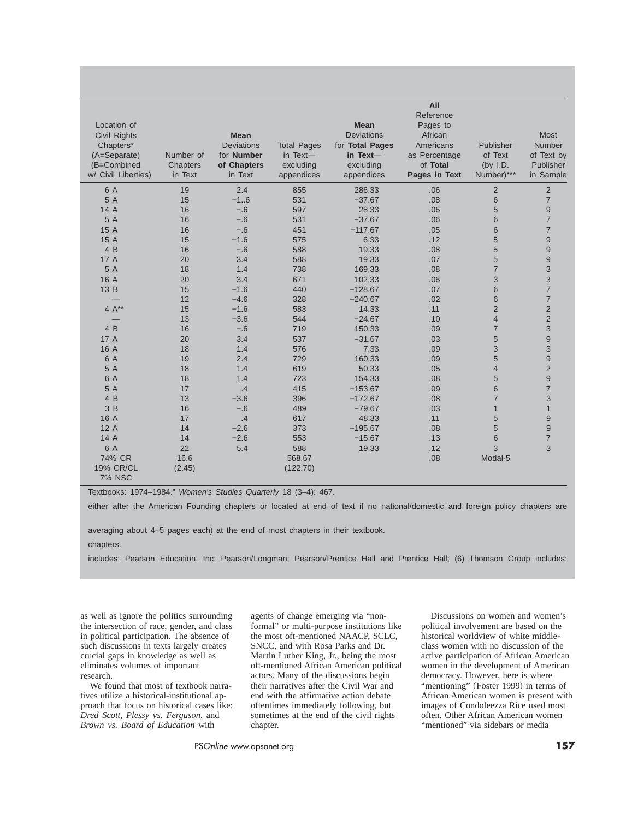| Location of<br>Civil Rights<br>Chapters*<br>(A=Separate)<br>(B=Combined<br>w/ Civil Liberties) | Number of<br>Chapters<br>in Text | <b>Mean</b><br><b>Deviations</b><br>for <b>Number</b><br>of Chapters<br>in Text | <b>Total Pages</b><br>in Text-<br>excluding<br>appendices | <b>Mean</b><br><b>Deviations</b><br>for Total Pages<br>in Text-<br>excluding<br>appendices | All<br>Reference<br>Pages to<br>African<br>Americans<br>as Percentage<br>of Total<br>Pages in Text | Publisher<br>of Text<br>(by $I.D.$<br>Number)*** | <b>Most</b><br>Number<br>of Text by<br>Publisher<br>in Sample |
|------------------------------------------------------------------------------------------------|----------------------------------|---------------------------------------------------------------------------------|-----------------------------------------------------------|--------------------------------------------------------------------------------------------|----------------------------------------------------------------------------------------------------|--------------------------------------------------|---------------------------------------------------------------|
| 6 A                                                                                            | 19                               | 2.4                                                                             | 855                                                       | 286.33                                                                                     | .06                                                                                                | $\overline{2}$                                   | $\overline{2}$                                                |
| 5 A                                                                                            | 15                               | $-16$                                                                           | 531                                                       | $-37.67$                                                                                   | .08                                                                                                | $6\phantom{1}$                                   | $\overline{7}$                                                |
| 14 A                                                                                           | 16                               | $-.6$                                                                           | 597                                                       | 28.33                                                                                      | .06                                                                                                | 5                                                | 9                                                             |
| 5 A                                                                                            | 16                               | $-.6$                                                                           | 531                                                       | $-37.67$                                                                                   | .06                                                                                                | 6                                                | $\overline{7}$                                                |
| 15 A                                                                                           | 16                               | $-.6$                                                                           | 451                                                       | $-117.67$                                                                                  | .05                                                                                                | 6                                                | $\overline{7}$                                                |
| 15 A                                                                                           | 15                               | $-1.6$                                                                          | 575                                                       | 6.33                                                                                       | .12                                                                                                | 5                                                | 9                                                             |
| 4 B                                                                                            | 16                               | $-.6$                                                                           | 588                                                       | 19.33                                                                                      | .08                                                                                                | 5                                                | 9                                                             |
| 17 A                                                                                           | 20                               | 3.4                                                                             | 588                                                       | 19.33                                                                                      | .07                                                                                                | 5                                                | 9                                                             |
| 5 A                                                                                            | 18                               | 1.4                                                                             | 738                                                       | 169.33                                                                                     | .08                                                                                                | $\overline{7}$                                   | 3                                                             |
| 16 A                                                                                           | 20                               | 3.4                                                                             | 671                                                       | 102.33                                                                                     | .06                                                                                                | 3                                                | 3                                                             |
| 13 B                                                                                           | 15                               | $-1.6$                                                                          | 440                                                       | $-128.67$                                                                                  | .07                                                                                                | 6                                                | $\overline{7}$                                                |
|                                                                                                | 12                               | $-4.6$                                                                          | 328                                                       | $-240.67$                                                                                  | .02                                                                                                | 6                                                | $\overline{\mathcal{I}}$                                      |
| 4 $A^{**}$                                                                                     | 15                               | $-1.6$                                                                          | 583                                                       | 14.33                                                                                      | .11                                                                                                | $\overline{2}$                                   | $\overline{c}$                                                |
|                                                                                                | 13                               | $-3.6$                                                                          | 544                                                       | $-24.67$                                                                                   | .10                                                                                                | $\overline{4}$                                   | $\overline{\mathbf{c}}$                                       |
| 4 B                                                                                            | 16                               | $-.6$                                                                           | 719                                                       | 150.33                                                                                     | .09                                                                                                | $\overline{7}$                                   | 3                                                             |
| 17 A                                                                                           | 20                               | 3.4                                                                             | 537                                                       | $-31.67$                                                                                   | .03                                                                                                | 5                                                | 9                                                             |
| 16 A                                                                                           | 18                               | 1.4                                                                             | 576                                                       | 7.33                                                                                       | .09                                                                                                | 3                                                | 3                                                             |
| 6 A                                                                                            | 19                               | 2.4                                                                             | 729                                                       | 160.33                                                                                     | .09                                                                                                | 5                                                | 9                                                             |
| 5 A                                                                                            | 18                               | 1.4                                                                             | 619                                                       | 50.33                                                                                      | .05                                                                                                | $\overline{4}$                                   | $\overline{2}$                                                |
| 6 A                                                                                            | 18                               | 1.4                                                                             | 723                                                       | 154.33                                                                                     | .08                                                                                                | 5                                                | 9                                                             |
| 5 A                                                                                            | 17                               | .4                                                                              | 415                                                       | $-153.67$                                                                                  | .09                                                                                                | 6                                                | $\overline{7}$                                                |
| 4 B                                                                                            | 13                               | $-3.6$                                                                          | 396                                                       | $-172.67$                                                                                  | .08                                                                                                | $\overline{7}$                                   | 3                                                             |
| 3B                                                                                             | 16                               | $-.6$                                                                           | 489                                                       | $-79.67$                                                                                   | .03                                                                                                | $\mathbf{1}$                                     | $\mathbf{1}$                                                  |
| 16 A                                                                                           | 17                               | .4                                                                              | 617                                                       | 48.33                                                                                      | .11                                                                                                | 5                                                | 9                                                             |
| 12A                                                                                            | 14                               | $-2.6$                                                                          | 373                                                       | $-195.67$                                                                                  | .08                                                                                                | 5                                                | 9                                                             |
| 14 A                                                                                           | 14                               | $-2.6$                                                                          | 553                                                       | $-15.67$                                                                                   | .13                                                                                                | 6                                                | $\overline{7}$                                                |
| 6 A                                                                                            | 22                               | 5.4                                                                             | 588                                                       | 19.33                                                                                      | .12                                                                                                | 3                                                | 3                                                             |
| 74% CR                                                                                         | 16.6                             |                                                                                 | 568.67                                                    |                                                                                            | .08                                                                                                | Modal-5                                          |                                                               |
| <b>19% CR/CL</b><br><b>7% NSC</b>                                                              | (2.45)                           |                                                                                 | (122.70)                                                  |                                                                                            |                                                                                                    |                                                  |                                                               |

Textbooks: 1974–1984." *Women's Studies Quarterly* 18 (3–4): 467.

either after the American Founding chapters or located at end of text if no national/domestic and foreign policy chapters are

averaging about 4–5 pages each) at the end of most chapters in their textbook.

chapters.

includes: Pearson Education, Inc; Pearson/Longman; Pearson/Prentice Hall and Prentice Hall; (6) Thomson Group includes:

as well as ignore the politics surrounding the intersection of race, gender, and class in political participation. The absence of such discussions in texts largely creates crucial gaps in knowledge as well as eliminates volumes of important research.

We found that most of textbook narratives utilize a historical-institutional approach that focus on historical cases like: *Dred Scott, Plessy vs. Ferguson*, and *Brown vs. Board of Education* with

agents of change emerging via "nonformal" or multi-purpose institutions like the most oft-mentioned NAACP, SCLC, SNCC, and with Rosa Parks and Dr. Martin Luther King, Jr., being the most oft-mentioned African American political actors. Many of the discussions begin their narratives after the Civil War and end with the affirmative action debate oftentimes immediately following, but sometimes at the end of the civil rights chapter.

Discussions on women and women's political involvement are based on the historical worldview of white middleclass women with no discussion of the active participation of African American women in the development of American democracy. However, here is where "mentioning" (Foster 1999) in terms of African American women is present with images of Condoleezza Rice used most often. Other African American women "mentioned" via sidebars or media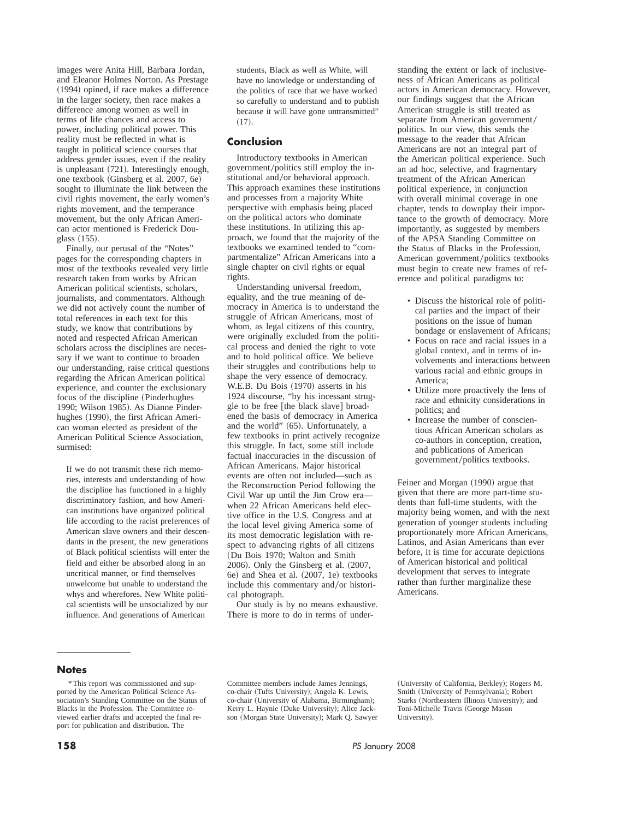images were Anita Hill, Barbara Jordan, and Eleanor Holmes Norton. As Prestage  $(1994)$  opined, if race makes a difference in the larger society, then race makes a difference among women as well in terms of life chances and access to power, including political power. This reality must be reflected in what is taught in political science courses that address gender issues, even if the reality is unpleasant  $(721)$ . Interestingly enough, one textbook (Ginsberg et al. 2007, 6e) sought to illuminate the link between the civil rights movement, the early women's rights movement, and the temperance movement, but the only African American actor mentioned is Frederick Douglass  $(155)$ .

Finally, our perusal of the "Notes" pages for the corresponding chapters in most of the textbooks revealed very little research taken from works by African American political scientists, scholars, journalists, and commentators. Although we did not actively count the number of total references in each text for this study, we know that contributions by noted and respected African American scholars across the disciplines are necessary if we want to continue to broaden our understanding, raise critical questions regarding the African American political experience, and counter the exclusionary focus of the discipline (Pinderhughes) 1990; Wilson 1985). As Dianne Pinderhughes (1990), the first African American woman elected as president of the American Political Science Association, surmised:

If we do not transmit these rich memories, interests and understanding of how the discipline has functioned in a highly discriminatory fashion, and how American institutions have organized political life according to the racist preferences of American slave owners and their descendants in the present, the new generations of Black political scientists will enter the field and either be absorbed along in an uncritical manner, or find themselves unwelcome but unable to understand the whys and wherefores. New White political scientists will be unsocialized by our influence. And generations of American

students, Black as well as White, will have no knowledge or understanding of the politics of race that we have worked so carefully to understand and to publish because it will have gone untransmitted"  $(17).$ 

## **Conclusion**

Introductory textbooks in American government/politics still employ the institutional and/or behavioral approach. This approach examines these institutions and processes from a majority White perspective with emphasis being placed on the political actors who dominate these institutions. In utilizing this approach, we found that the majority of the textbooks we examined tended to "compartmentalize" African Americans into a single chapter on civil rights or equal rights.

Understanding universal freedom, equality, and the true meaning of democracy in America is to understand the struggle of African Americans, most of whom, as legal citizens of this country, were originally excluded from the political process and denied the right to vote and to hold political office. We believe their struggles and contributions help to shape the very essence of democracy. W.E.B. Du Bois (1970) asserts in his 1924 discourse, "by his incessant struggle to be free [the black slave] broadened the basis of democracy in America and the world"  $(65)$ . Unfortunately, a few textbooks in print actively recognize this struggle. In fact, some still include factual inaccuracies in the discussion of African Americans. Major historical events are often not included—such as the Reconstruction Period following the Civil War up until the Jim Crow era when 22 African Americans held elective office in the U.S. Congress and at the local level giving America some of its most democratic legislation with respect to advancing rights of all citizens (Du Bois 1970; Walton and Smith  $2006$ ). Only the Ginsberg et al.  $(2007,$ 6e) and Shea et al. (2007, 1e) textbooks include this commentary and/or historical photograph.

Our study is by no means exhaustive. There is more to do in terms of under-

standing the extent or lack of inclusiveness of African Americans as political actors in American democracy. However, our findings suggest that the African American struggle is still treated as separate from American government/ politics. In our view, this sends the message to the reader that African Americans are not an integral part of the American political experience. Such an ad hoc, selective, and fragmentary treatment of the African American political experience, in conjunction with overall minimal coverage in one chapter, tends to downplay their importance to the growth of democracy. More importantly, as suggested by members of the APSA Standing Committee on the Status of Blacks in the Profession, American government/politics textbooks must begin to create new frames of reference and political paradigms to:

- Discuss the historical role of political parties and the impact of their positions on the issue of human bondage or enslavement of Africans;
- Focus on race and racial issues in a global context, and in terms of involvements and interactions between various racial and ethnic groups in America;
- Utilize more proactively the lens of race and ethnicity considerations in politics; and
- Increase the number of conscientious African American scholars as co-authors in conception, creation, and publications of American government/politics textbooks.

Feiner and Morgan (1990) argue that given that there are more part-time students than full-time students, with the majority being women, and with the next generation of younger students including proportionately more African Americans, Latinos, and Asian Americans than ever before, it is time for accurate depictions of American historical and political development that serves to integrate rather than further marginalize these Americans.

#### **Notes**

Committee members include James Jennings, co-chair (Tufts University); Angela K. Lewis, co-chair (University of Alabama, Birmingham); Kerry L. Haynie (Duke University); Alice Jackson (Morgan State University); Mark Q. Sawyer

(University of California, Berkley); Rogers M. Smith (University of Pennsylvania); Robert Starks (Northeastern Illinois University); and Toni-Michelle Travis (George Mason University).

<sup>\*</sup> This report was commissioned and supported by the American Political Science Association's Standing Committee on the Status of Blacks in the Profession. The Committee reviewed earlier drafts and accepted the final report for publication and distribution. The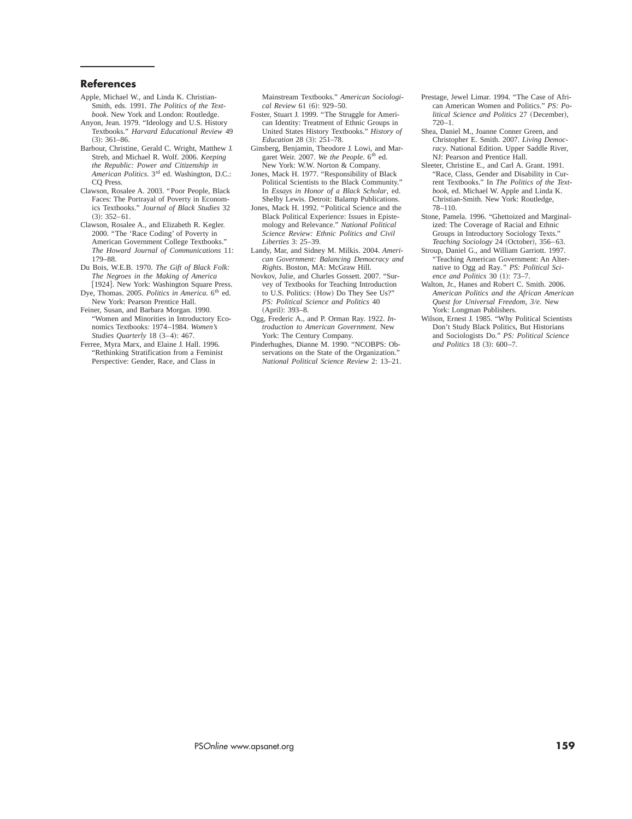#### **References**

- Apple, Michael W., and Linda K. Christian-Smith, eds. 1991. *The Politics of the Textbook*. New York and London: Routledge.
- Anyon, Jean. 1979. "Ideology and U.S. History Textbooks." *Harvard Educational Review* 49  $(3): 361-86.$
- Barbour, Christine, Gerald C. Wright, Matthew J. Streb, and Michael R. Wolf. 2006. *Keeping the Republic: Power and Citizenship in American Politics*. 3rd ed. Washington, D.C.: CQ Press.
- Clawson, Rosalee A. 2003. "Poor People, Black Faces: The Portrayal of Poverty in Economics Textbooks." *Journal of Black Studies* 32  $(3): 352-61.$
- Clawson, Rosalee A., and Elizabeth R. Kegler. 2000. "The 'Race Coding' of Poverty in American Government College Textbooks." *The Howard Journal of Communications* 11: 179–88.
- Du Bois, W.E.B. 1970. *The Gift of Black Folk: The Negroes in the Making of America* [1924]. New York: Washington Square Press.
- Dye, Thomas. 2005. *Politics in America*. 6<sup>th</sup> ed. New York: Pearson Prentice Hall.
- Feiner, Susan, and Barbara Morgan. 1990. "Women and Minorities in Introductory Economics Textbooks: 1974–1984. *Women's Studies Quarterly* 18 (3-4): 467.
- Ferree, Myra Marx, and Elaine J. Hall. 1996. "Rethinking Stratification from a Feminist Perspective: Gender, Race, and Class in

Mainstream Textbooks." *American Sociological Review* 61 (6): 929–50.

- Foster, Stuart J. 1999. "The Struggle for American Identity: Treatment of Ethnic Groups in United States History Textbooks." *History of Education* 28 (3): 251–78.
- Ginsberg, Benjamin, Theodore J. Lowi, and Margaret Weir. 2007. We the People. 6<sup>th</sup> ed. New York: W.W. Norton & Company.
- Jones, Mack H. 1977. "Responsibility of Black Political Scientists to the Black Community." In *Essays in Honor of a Black Scholar*, ed. Shelby Lewis. Detroit: Balamp Publications.
- Jones, Mack H. 1992. "Political Science and the Black Political Experience: Issues in Epistemology and Relevance." *National Political Science Review: Ethnic Politics and Civil Liberties* 3: 25–39.
- Landy, Mar, and Sidney M. Milkis. 2004. *American Government: Balancing Democracy and Rights*. Boston, MA: McGraw Hill.
- Novkov, Julie, and Charles Gossett. 2007. "Survey of Textbooks for Teaching Introduction to U.S. Politics: (How) Do They See Us?" *PS: Political Science and Politics* 40 (April): 393-8.
- Ogg, Frederic A., and P. Orman Ray. 1922. *Introduction to American Government*. New York: The Century Company.
- Pinderhughes, Dianne M. 1990. "NCOBPS: Observations on the State of the Organization." *National Political Science Review* 2: 13–21.
- Prestage, Jewel Limar. 1994. "The Case of African American Women and Politics." *PS: Political Science and Politics 27 (December),*  $720 - 1$
- Shea, Daniel M., Joanne Conner Green, and Christopher E. Smith. 2007. *Living Democracy*. National Edition. Upper Saddle River, NJ: Pearson and Prentice Hall.
- Sleeter, Christine E., and Carl A. Grant. 1991. "Race, Class, Gender and Disability in Current Textbooks." In *The Politics of the Textbook*, ed. Michael W. Apple and Linda K. Christian-Smith. New York: Routledge, 78–110.
- Stone, Pamela. 1996. "Ghettoized and Marginalized: The Coverage of Racial and Ethnic Groups in Introductory Sociology Texts." *Teaching Sociology* 24 (October), 356-63.
- Stroup, Daniel G., and William Garriott. 1997. "Teaching American Government: An Alternative to Ogg ad Ray*." PS: Political Science and Politics* 30 (1): 73-7.
- Walton, Jr., Hanes and Robert C. Smith. 2006. *American Politics and the African American Quest for Universal Freedom, 3/e*. New York: Longman Publishers.
- Wilson, Ernest J. 1985. "Why Political Scientists Don't Study Black Politics, But Historians and Sociologists Do." *PS: Political Science and Politics* 18 (3): 600-7.